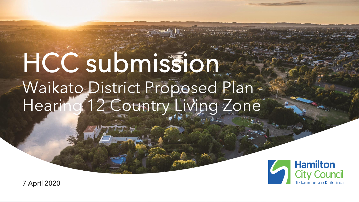# HCC submission Waikato District Proposed Plan - Hearing 12 Country Living Zone



7 April 2020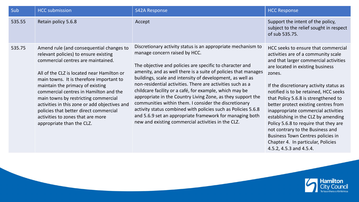| Sub    | <b>HCC</b> submission                                                                                                                                                                                                                                                                                                                                                                                                                                                                                | S42A Response                                                                                                                                                                                                                                                                                                                                                                                                                                                                                                                                                                                                                                                                                                                | <b>HCC Response</b>                                                                                                                                                                                                                                                                                                                                                                                                                                                                                                                          |
|--------|------------------------------------------------------------------------------------------------------------------------------------------------------------------------------------------------------------------------------------------------------------------------------------------------------------------------------------------------------------------------------------------------------------------------------------------------------------------------------------------------------|------------------------------------------------------------------------------------------------------------------------------------------------------------------------------------------------------------------------------------------------------------------------------------------------------------------------------------------------------------------------------------------------------------------------------------------------------------------------------------------------------------------------------------------------------------------------------------------------------------------------------------------------------------------------------------------------------------------------------|----------------------------------------------------------------------------------------------------------------------------------------------------------------------------------------------------------------------------------------------------------------------------------------------------------------------------------------------------------------------------------------------------------------------------------------------------------------------------------------------------------------------------------------------|
| 535.55 | Retain policy 5.6.8                                                                                                                                                                                                                                                                                                                                                                                                                                                                                  | Accept                                                                                                                                                                                                                                                                                                                                                                                                                                                                                                                                                                                                                                                                                                                       | Support the intent of the policy,<br>subject to the relief sought in respect<br>of sub 535.75.                                                                                                                                                                                                                                                                                                                                                                                                                                               |
| 535.75 | Amend rule (and consequential changes to<br>relevant policies) to ensure existing<br>commercial centres are maintained.<br>All of the CLZ is located near Hamilton or<br>main towns. It is therefore important to<br>maintain the primacy of existing<br>commercial centres in Hamilton and the<br>main towns by restricting commercial<br>activities in this zone or add objectives and<br>policies that better direct commercial<br>activities to zones that are more<br>appropriate than the CLZ. | Discretionary activity status is an appropriate mechanism to<br>manage concern raised by HCC.<br>The objective and policies are specific to character and<br>amenity, and as well there is a suite of policies that manages<br>buildings, scale and intensity of development, as well as<br>non-residential activities. There are activities such as a<br>childcare facility or a café, for example, which may be<br>appropriate in the Country Living Zone, as they support the<br>communities within them. I consider the discretionary<br>activity status combined with policies such as Policies 5.6.8<br>and 5.6.9 set an appropriate framework for managing both<br>new and existing commercial activities in the CLZ. | HCC seeks to ensure that commercial<br>activities are of a community scale<br>and that larger commercial activities<br>are located in existing business<br>zones.<br>If the discretionary activity status as<br>notified is to be retained, HCC seeks<br>that Policy 5.6.8 is strengthened to<br>better protect existing centres from<br>inappropriate commercial activities<br>establishing in the CLZ by amending<br>Policy 5.6.8 to require that they are<br>not contrary to the Business and<br><b>Business Town Centres policies in</b> |

Hamilton<br>City Council<br>Te kaunihera o Kirikiriroa

Chapter 4. In particular, Policies

4.5.2, 4.5.3 and 4.5.4.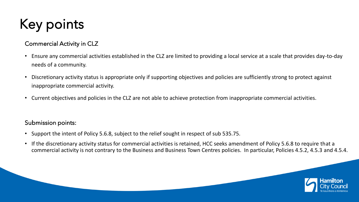# Key points

### Commercial Activity in CLZ

- Ensure any commercial activities established in the CLZ are limited to providing a local service at a scale that provides day-to-day needs of a community.
- Discretionary activity status is appropriate only if supporting objectives and policies are sufficiently strong to protect against inappropriate commercial activity.
- Current objectives and policies in the CLZ are not able to achieve protection from inappropriate commercial activities.

#### Submission points:

- Support the intent of Policy 5.6.8, subject to the relief sought in respect of sub 535.75.
- If the discretionary activity status for commercial activities is retained, HCC seeks amendment of Policy 5.6.8 to require that a commercial activity is not contrary to the Business and Business Town Centres policies. In particular, Policies 4.5.2, 4.5.3 and 4.5.4.

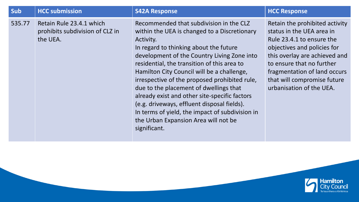| Sub    | <b>HCC submission</b>                                                   | <b>S42A Response</b>                                                                                                                                                                                                                                                                                                                                                                                                                                                                                                                                                                             | <b>HCC Response</b>                                                                                                                                                                                                                                                              |
|--------|-------------------------------------------------------------------------|--------------------------------------------------------------------------------------------------------------------------------------------------------------------------------------------------------------------------------------------------------------------------------------------------------------------------------------------------------------------------------------------------------------------------------------------------------------------------------------------------------------------------------------------------------------------------------------------------|----------------------------------------------------------------------------------------------------------------------------------------------------------------------------------------------------------------------------------------------------------------------------------|
| 535.77 | Retain Rule 23.4.1 which<br>prohibits subdivision of CLZ in<br>the UEA. | Recommended that subdivision in the CLZ<br>within the UEA is changed to a Discretionary<br>Activity.<br>In regard to thinking about the future<br>development of the Country Living Zone into<br>residential, the transition of this area to<br>Hamilton City Council will be a challenge,<br>irrespective of the proposed prohibited rule,<br>due to the placement of dwellings that<br>already exist and other site-specific factors<br>(e.g. driveways, effluent disposal fields).<br>In terms of yield, the impact of subdivision in<br>the Urban Expansion Area will not be<br>significant. | Retain the prohibited activity<br>status in the UEA area in<br>Rule 23.4.1 to ensure the<br>objectives and policies for<br>this overlay are achieved and<br>to ensure that no further<br>fragmentation of land occurs<br>that will compromise future<br>urbanisation of the UEA. |

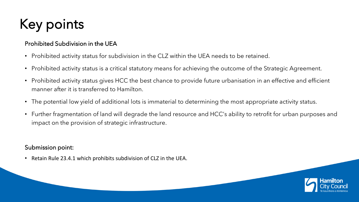# Key points

### Prohibited Subdivision in the UEA

- Prohibited activity status for subdivision in the CLZ within the UEA needs to be retained.
- Prohibited activity status is a critical statutory means for achieving the outcome of the Strategic Agreement.
- Prohibited activity status gives HCC the best chance to provide future urbanisation in an effective and efficient manner after it is transferred to Hamilton.
- The potential low yield of additional lots is immaterial to determining the most appropriate activity status.
- Further fragmentation of land will degrade the land resource and HCC's ability to retrofit for urban purposes and impact on the provision of strategic infrastructure.

### Submission point:

• Retain Rule 23.4.1 which prohibits subdivision of CLZ in the UEA.

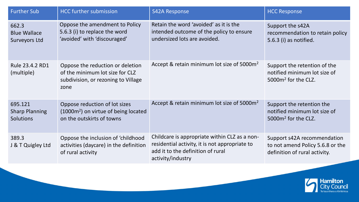| <b>Further Sub</b>                            | <b>HCC</b> further submission                                                                                      | <b>S42A Response</b>                                                                                                                                      | <b>HCC Response</b>                                                                              |
|-----------------------------------------------|--------------------------------------------------------------------------------------------------------------------|-----------------------------------------------------------------------------------------------------------------------------------------------------------|--------------------------------------------------------------------------------------------------|
| 662.3<br><b>Blue Wallace</b><br>Surveyors Ltd | Oppose the amendment to Policy<br>5.6.3 (i) to replace the word<br>'avoided' with 'discouraged'                    | Retain the word 'avoided' as it is the<br>intended outcome of the policy to ensure<br>undersized lots are avoided.                                        | Support the s42A<br>recommendation to retain policy<br>5.6.3 (i) as notified.                    |
| Rule 23.4.2 RD1<br>(multiple)                 | Oppose the reduction or deletion<br>of the minimum lot size for CLZ<br>subdivision, or rezoning to Village<br>zone | Accept & retain minimum lot size of 5000m <sup>2</sup>                                                                                                    | Support the retention of the<br>notified minimum lot size of<br>5000m <sup>2</sup> for the CLZ.  |
| 695.121<br><b>Sharp Planning</b><br>Solutions | Oppose reduction of lot sizes<br>$(1000m2)$ on virtue of being located<br>on the outskirts of towns                | Accept & retain minimum lot size of 5000m <sup>2</sup>                                                                                                    | Support the retention the<br>notified minimum lot size of<br>5000m <sup>2</sup> for the CLZ.     |
| 389.3<br>J & T Quigley Ltd                    | Oppose the inclusion of 'childhood<br>activities (daycare) in the definition<br>of rural activity                  | Childcare is appropriate within CLZ as a non-<br>residential activity, it is not appropriate to<br>add it to the definition of rural<br>activity/industry | Support s42A recommendation<br>to not amend Policy 5.6.8 or the<br>definition of rural activity. |

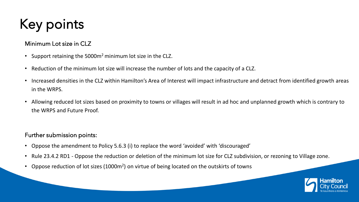## Key points

#### Minimum Lot size in CLZ

- Support retaining the 5000m<sup>2</sup> minimum lot size in the CLZ.
- Reduction of the minimum lot size will increase the number of lots and the capacity of a CLZ.
- Increased densities in the CLZ within Hamilton's Area of Interest will impact infrastructure and detract from identified growth areas in the WRPS.
- Allowing reduced lot sizes based on proximity to towns or villages will result in ad hoc and unplanned growth which is contrary to the WRPS and Future Proof.

#### Further submission points:

- Oppose the amendment to Policy 5.6.3 (i) to replace the word 'avoided' with 'discouraged'
- Rule 23.4.2 RD1 Oppose the reduction or deletion of the minimum lot size for CLZ subdivision, or rezoning to Village zone.
- Oppose reduction of lot sizes (1000m<sup>2</sup>) on virtue of being located on the outskirts of towns